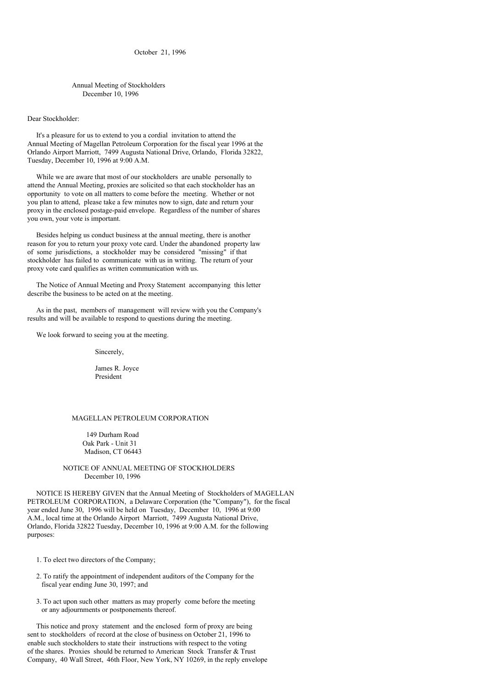October 21, 1996

Annual Meeting of Stockholders December 10, 1996

#### Dear Stockholder:

It's a pleasure for us to extend to you a cordial invitation to attend the Annual Meeting of Magellan Petroleum Corporation for the fiscal year 1996 at the Orlando Airport Marriott, 7499 Augusta National Drive, Orlando, Florida 32822, Tuesday, December 10, 1996 at 9:00 A.M.

While we are aware that most of our stockholders are unable personally to attend the Annual Meeting, proxies are solicited so that each stockholder has an opportunity to vote on all matters to come before the meeting. Whether or not you plan to attend, please take a few minutes now to sign, date and return your proxy in the enclosed postage-paid envelope. Regardless of the number of shares you own, your vote is important.

Besides helping us conduct business at the annual meeting, there is another reason for you to return your proxy vote card. Under the abandoned property law of some jurisdictions, a stockholder may be considered "missing" if that stockholder has failed to communicate with us in writing. The return of your proxy vote card qualifies as written communication with us.

The Notice of Annual Meeting and Proxy Statement accompanying this letter describe the business to be acted on at the meeting.

As in the past, members of management will review with you the Company's results and will be available to respond to questions during the meeting.

We look forward to seeing you at the meeting.

Sincerely,

James R. Joyce President

### MAGELLAN PETROLEUM CORPORATION

149 Durham Road Oak Park - Unit 31 Madison, CT 06443

# NOTICE OF ANNUAL MEETING OF STOCKHOLDERS December 10, 1996

NOTICE IS HEREBY GIVEN that the Annual Meeting of Stockholders of MAGELLAN PETROLEUM CORPORATION, a Delaware Corporation (the "Company"), for the fiscal year ended June 30, 1996 will be held on Tuesday, December 10, 1996 at 9:00 A.M., local time at the Orlando Airport Marriott, 7499 Augusta National Drive, Orlando, Florida 32822 Tuesday, December 10, 1996 at 9:00 A.M. for the following purposes:

1. To elect two directors of the Company;

- 2. To ratify the appointment of independent auditors of the Company for the fiscal year ending June 30, 1997; and
- 3. To act upon such other matters as may properly come before the meeting or any adjournments or postponements thereof.

This notice and proxy statement and the enclosed form of proxy are being sent to stockholders of record at the close of business on October 21, 1996 to enable such stockholders to state their instructions with respect to the voting of the shares. Proxies should be returned to American Stock Transfer & Trust Company, 40 Wall Street, 46th Floor, New York, NY 10269, in the reply envelope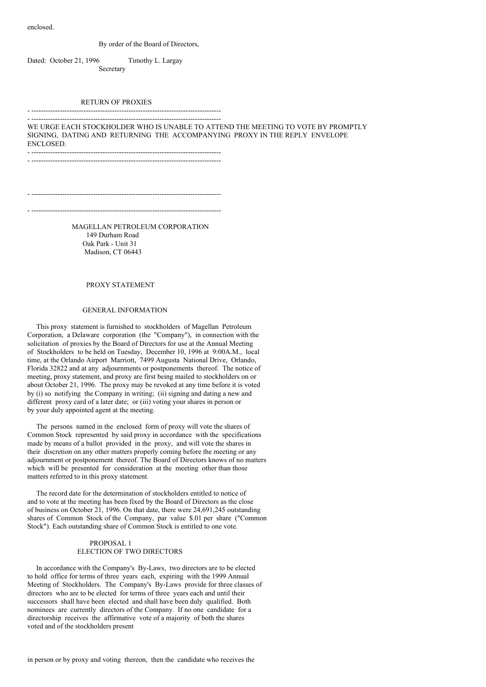enclosed.

#### By order of the Board of Directors,

Dated: October 21, 1996 Timothy L. Largay Secretary

### RETURN OF PROXIES

#### - --------------------------------------------------------------------------------

- -------------------------------------------------------------------------------- WE URGE EACH STOCKHOLDER WHO IS UNABLE TO ATTEND THE MEETING TO VOTE BY PROMPTLY SIGNING, DATING AND RETURNING THE ACCOMPANYING PROXY IN THE REPLY ENVELOPE ENCLOSED. - --------------------------------------------------------------------------------

- --------------------------------------------------------------------------------

- -------------------------------------------------------------------------------- - --------------------------------------------------------------------------------

> MAGELLAN PETROLEUM CORPORATION 149 Durham Road Oak Park - Unit 31 Madison, CT 06443

#### PROXY STATEMENT

### GENERAL INFORMATION

This proxy statement is furnished to stockholders of Magellan Petroleum Corporation, a Delaware corporation (the "Company"), in connection with the solicitation of proxies by the Board of Directors for use at the Annual Meeting of Stockholders to be held on Tuesday, December 10, 1996 at 9:00A.M., local time, at the Orlando Airport Marriott, 7499 Augusta National Drive, Orlando, Florida 32822 and at any adjournments or postponements thereof. The notice of meeting, proxy statement, and proxy are first being mailed to stockholders on or about October 21, 1996. The proxy may be revoked at any time before it is voted by (i) so notifying the Company in writing; (ii) signing and dating a new and different proxy card of a later date; or (iii) voting your shares in person or by your duly appointed agent at the meeting.

The persons named in the enclosed form of proxy will vote the shares of Common Stock represented by said proxy in accordance with the specifications made by means of a ballot provided in the proxy, and will vote the shares in their discretion on any other matters properly coming before the meeting or any adjournment or postponement thereof. The Board of Directors knows of no matters which will be presented for consideration at the meeting other than those matters referred to in this proxy statement.

The record date for the determination of stockholders entitled to notice of and to vote at the meeting has been fixed by the Board of Directors as the close of business on October 21, 1996. On that date, there were 24,691,245 outstanding shares of Common Stock of the Company, par value \$.01 per share ("Common Stock"). Each outstanding share of Common Stock is entitled to one vote.

# PROPOSAL 1 ELECTION OF TWO DIRECTORS

In accordance with the Company's By-Laws, two directors are to be elected to hold office for terms of three years each, expiring with the 1999 Annual Meeting of Stockholders. The Company's By-Laws provide for three classes of directors who are to be elected for terms of three years each and until their successors shall have been elected and shall have been duly qualified. Both nominees are currently directors of the Company. If no one candidate for a directorship receives the affirmative vote of a majority of both the shares voted and of the stockholders present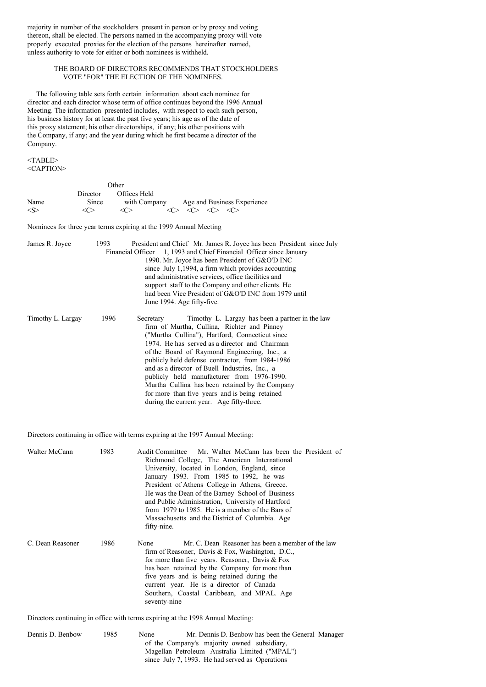majority in number of the stockholders present in person or by proxy and voting thereon, shall be elected. The persons named in the accompanying proxy will vote properly executed proxies for the election of the persons hereinafter named, unless authority to vote for either or both nominees is withheld.

# THE BOARD OF DIRECTORS RECOMMENDS THAT STOCKHOLDERS VOTE "FOR" THE ELECTION OF THE NOMINEES.

The following table sets forth certain information about each nominee for director and each director whose term of office continues beyond the 1996 Annual Meeting. The information presented includes, with respect to each such person, his business history for at least the past five years; his age as of the date of this proxy statement; his other directorships, if any; his other positions with the Company, if any; and the year during which he first became a director of the Company.

<TABLE> <CAPTION>

|       |                   | Other         |                                                                                 |
|-------|-------------------|---------------|---------------------------------------------------------------------------------|
|       | Director          | Offices Held  |                                                                                 |
| Name  | Since             | with Company  | Age and Business Experience                                                     |
| < S > | $\epsilon$ $\sim$ | < <sub></sub> | $\langle C \rangle$ $\langle C \rangle$ $\langle C \rangle$ $\langle C \rangle$ |

Nominees for three year terms expiring at the 1999 Annual Meeting

| James R. Joyce    | 1993 | President and Chief Mr. James R. Joyce has been President since July<br>Financial Officer 1, 1993 and Chief Financial Officer since January<br>1990. Mr. Joyce has been President of G&O'D INC<br>since July 1,1994, a firm which provides accounting<br>and administrative services, office facilities and<br>support staff to the Company and other clients. He<br>had been Vice President of G&O'D INC from 1979 until                                                                                                                                              |
|-------------------|------|------------------------------------------------------------------------------------------------------------------------------------------------------------------------------------------------------------------------------------------------------------------------------------------------------------------------------------------------------------------------------------------------------------------------------------------------------------------------------------------------------------------------------------------------------------------------|
|                   |      | June 1994. Age fifty-five.                                                                                                                                                                                                                                                                                                                                                                                                                                                                                                                                             |
| Timothy L. Largay | 1996 | Timothy L. Largay has been a partner in the law<br>Secretary<br>firm of Murtha, Cullina, Richter and Pinney<br>("Murtha Cullina"), Hartford, Connecticut since<br>1974. He has served as a director and Chairman<br>of the Board of Raymond Engineering, Inc., a<br>publicly held defense contractor, from 1984-1986<br>and as a director of Buell Industries, Inc., a<br>publicly held manufacturer from 1976-1990.<br>Murtha Cullina has been retained by the Company<br>for more than five years and is being retained<br>during the current year. Age fifty-three. |

Directors continuing in office with terms expiring at the 1997 Annual Meeting:

| Walter McCann    | 1983 | Audit Committee Mr. Walter McCann has been the President of<br>Richmond College, The American International<br>University, located in London, England, since<br>January 1993. From 1985 to 1992, he was<br>President of Athens College in Athens, Greece.<br>He was the Dean of the Barney School of Business<br>and Public Administration. University of Hartford<br>from 1979 to 1985. He is a member of the Bars of<br>Massachusetts and the District of Columbia. Age<br>fifty-nine. |
|------------------|------|------------------------------------------------------------------------------------------------------------------------------------------------------------------------------------------------------------------------------------------------------------------------------------------------------------------------------------------------------------------------------------------------------------------------------------------------------------------------------------------|
| C. Dean Reasoner | 1986 | Mr. C. Dean Reasoner has been a member of the law<br>None<br>firm of Reasoner, Davis & Fox, Washington, D.C.,<br>for more than five years. Reasoner, Davis $&$ Fox<br>has been retained by the Company for more than<br>five years and is being retained during the<br>current year. He is a director of Canada<br>Southern, Coastal Caribbean, and MPAL. Age<br>seventy-nine                                                                                                            |

Directors continuing in office with terms expiring at the 1998 Annual Meeting:

| Dennis D. Benbow | 1985. | None | Mr. Dennis D. Benbow has been the General Manager |
|------------------|-------|------|---------------------------------------------------|
|                  |       |      | of the Company's majority owned subsidiary,       |
|                  |       |      | Magellan Petroleum Australia Limited ("MPAL")     |
|                  |       |      | since July 7, 1993. He had served as Operations   |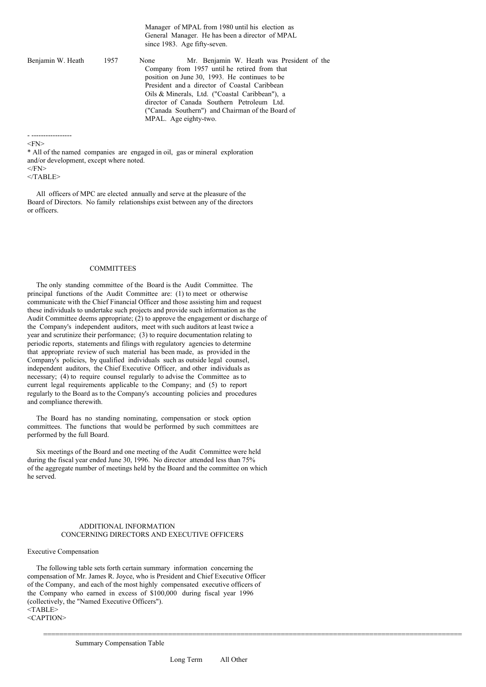Manager of MPAL from 1980 until his election as General Manager. He has been a director of MPAL since 1983. Age fifty-seven. Benjamin W. Heath 1957 None Mr. Benjamin W. Heath was President of the Company from 1957 until he retired from that position on June 30, 1993. He continues to be President and a director of Coastal Caribbean Oils & Minerals, Ltd. ("Coastal Caribbean"), a director of Canada Southern Petroleum Ltd. ("Canada Southern") and Chairman of the Board of MPAL. Age eighty-two.

- -----------------  $<$ FN $>$ 

\* All of the named companies are engaged in oil, gas or mineral exploration and/or development, except where noted.  $<$  $FN$ 

 $\langle$ TABLE>

All officers of MPC are elected annually and serve at the pleasure of the Board of Directors. No family relationships exist between any of the directors or officers.

### **COMMITTEES**

The only standing committee of the Board is the Audit Committee. The principal functions of the Audit Committee are: (1) to meet or otherwise communicate with the Chief Financial Officer and those assisting him and request these individuals to undertake such projects and provide such information as the Audit Committee deems appropriate; (2) to approve the engagement or discharge of the Company's independent auditors, meet with such auditors at least twice a year and scrutinize their performance; (3) to require documentation relating to periodic reports, statements and filings with regulatory agencies to determine that appropriate review of such material has been made, as provided in the Company's policies, by qualified individuals such as outside legal counsel, independent auditors, the Chief Executive Officer, and other individuals as necessary; (4) to require counsel regularly to advise the Committee as to current legal requirements applicable to the Company; and (5) to report regularly to the Board as to the Company's accounting policies and procedures and compliance therewith.

The Board has no standing nominating, compensation or stock option committees. The functions that would be performed by such committees are performed by the full Board.

Six meetings of the Board and one meeting of the Audit Committee were held during the fiscal year ended June 30, 1996. No director attended less than 75% of the aggregate number of meetings held by the Board and the committee on which he served.

### ADDITIONAL INFORMATION CONCERNING DIRECTORS AND EXECUTIVE OFFICERS

#### Executive Compensation

The following table sets forth certain summary information concerning the compensation of Mr. James R. Joyce, who is President and Chief Executive Officer of the Company, and each of the most highly compensated executive officers of the Company who earned in excess of \$100,000 during fiscal year 1996 (collectively, the "Named Executive Officers"). <TABLE> <CAPTION>

Summary Compensation Table

========================================================================================================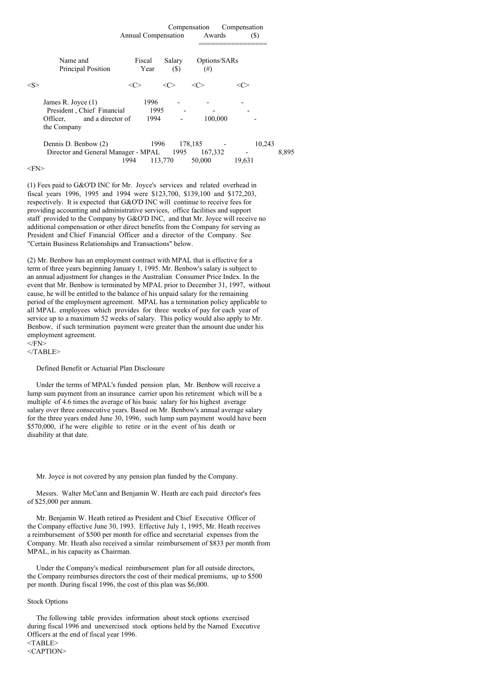|               |                                                                                                  | Annual Compensation  |                  | Compensation<br>Awards       | Compensation<br>(S) |       |
|---------------|--------------------------------------------------------------------------------------------------|----------------------|------------------|------------------------------|---------------------|-------|
|               | Name and<br>Principal Position                                                                   | Fiscal<br>Year       | Salary<br>$(\$)$ | Options/SARs<br>$^{(#)}$     |                     |       |
| $<\!\!S\!\!>$ |                                                                                                  | <c></c>              | <c></c>          | <c></c>                      | <( '>               |       |
|               | James R. Joyce (1)<br>President, Chief Financial<br>and a director of<br>Officer.<br>the Company | 1996<br>1995<br>1994 |                  | 100,000                      |                     |       |
|               | Dennis D. Benbow (2)<br>Director and General Manager - MPAL 1995                                 | 1994                 | 1996<br>113,770  | 178,185<br>167,332<br>50,000 | 10,243<br>19,631    | 8,895 |

(1) Fees paid to G&O'D INC for Mr. Joyce's services and related overhead in fiscal years 1996, 1995 and 1994 were \$123,700, \$139,100 and \$172,203, respectively. It is expected that G&O'D INC will continue to receive fees for providing accounting and administrative services, office facilities and support staff provided to the Company by G&O'D INC, and that Mr. Joyce will receive no additional compensation or other direct benefits from the Company for serving as President and Chief Financial Officer and a director of the Company. See "Certain Business Relationships and Transactions" below.

(2) Mr. Benbow has an employment contract with MPAL that is effective for a term of three years beginning January 1, 1995. Mr. Benbow's salary is subject to an annual adjustment for changes in the Australian Consumer Price Index. In the event that Mr. Benbow is terminated by MPAL prior to December 31, 1997, without cause, he will be entitled to the balance of his unpaid salary for the remaining period of the employment agreement. MPAL has a termination policy applicable to all MPAL employees which provides for three weeks of pay for each year of service up to a maximum 52 weeks of salary. This policy would also apply to Mr. Benbow, if such termination payment were greater than the amount due under his employment agreement.  $<$  $FN$ >

 $<$ /TABLE>

Defined Benefit or Actuarial Plan Disclosure

Under the terms of MPAL's funded pension plan, Mr. Benbow will receive a lump sum payment from an insurance carrier upon his retirement which will be a multiple of 4.6 times the average of his basic salary for his highest average salary over three consecutive years. Based on Mr. Benbow's annual average salary for the three years ended June 30, 1996, such lump sum payment would have been \$570,000, if he were eligible to retire or in the event of his death or disability at that date.

Mr. Joyce is not covered by any pension plan funded by the Company.

Messrs. Walter McCann and Benjamin W. Heath are each paid director's fees of \$25,000 per annum.

Mr. Benjamin W. Heath retired as President and Chief Executive Officer of the Company effective June 30, 1993. Effective July 1, 1995, Mr. Heath receives a reimbursement of \$500 per month for office and secretarial expenses from the Company. Mr. Heath also received a similar reimbursement of \$833 per month from MPAL, in his capacity as Chairman.

Under the Company's medical reimbursement plan for all outside directors, the Company reimburses directors the cost of their medical premiums, up to \$500 per month. During fiscal 1996, the cost of this plan was \$6,000.

# Stock Options

The following table provides information about stock options exercised during fiscal 1996 and unexercised stock options held by the Named Executive Officers at the end of fiscal year 1996. <TABLE> <CAPTION>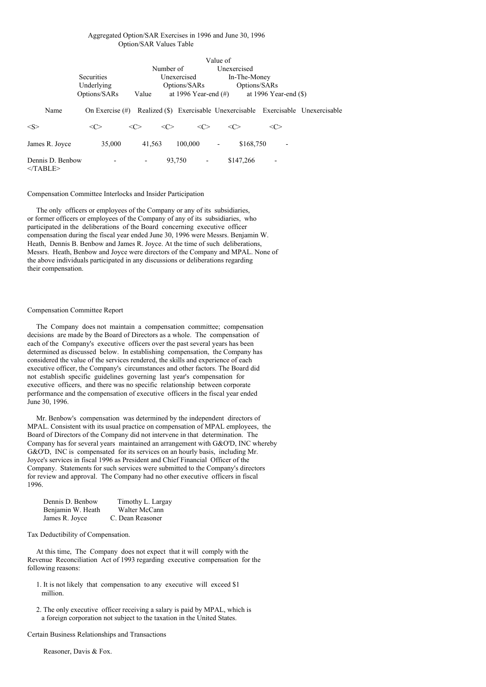### Aggregated Option/SAR Exercises in 1996 and June 30, 1996 Option/SAR Values Table

| Value of                       |                    |                     |                     |                          |                          |              |                         |                                                                   |
|--------------------------------|--------------------|---------------------|---------------------|--------------------------|--------------------------|--------------|-------------------------|-------------------------------------------------------------------|
|                                |                    |                     | Number of           |                          | Unexercised              |              |                         |                                                                   |
|                                | <b>Securities</b>  |                     |                     | Unexercised              |                          | In-The-Money |                         |                                                                   |
|                                | Underlying         |                     |                     | Options/SARs             |                          | Options/SARs |                         |                                                                   |
|                                | Options/SARs       | Value               |                     | at 1996 Year-end $(\#)$  |                          |              | at 1996 Year-end $(\$)$ |                                                                   |
| Name                           | On Exercise $(\#)$ |                     |                     |                          |                          |              |                         | Realized (\$) Exercisable Unexercisable Exercisable Unexercisable |
| $<\!\!S\!\!>$                  | <<>                | $\langle C \rangle$ | $\langle C \rangle$ | $\langle C \rangle$      | $\langle C \rangle$      |              | <<>                     |                                                                   |
| James R. Joyce                 | 35,000             | 41.563              |                     | 100,000                  | $\overline{\phantom{a}}$ | \$168,750    |                         |                                                                   |
| Dennis D. Benbow<br>$<$ TABLE> |                    | -                   | 93.750              | $\overline{\phantom{a}}$ |                          | \$147,266    |                         |                                                                   |

### Compensation Committee Interlocks and Insider Participation

The only officers or employees of the Company or any of its subsidiaries, or former officers or employees of the Company of any of its subsidiaries, who participated in the deliberations of the Board concerning executive officer compensation during the fiscal year ended June 30, 1996 were Messrs. Benjamin W. Heath, Dennis B. Benbow and James R. Joyce. At the time of such deliberations, Messrs. Heath, Benbow and Joyce were directors of the Company and MPAL. None of the above individuals participated in any discussions or deliberations regarding their compensation.

#### Compensation Committee Report

The Company does not maintain a compensation committee; compensation decisions are made by the Board of Directors as a whole. The compensation of each of the Company's executive officers over the past several years has been determined as discussed below. In establishing compensation, the Company has considered the value of the services rendered, the skills and experience of each executive officer, the Company's circumstances and other factors. The Board did not establish specific guidelines governing last year's compensation for executive officers, and there was no specific relationship between corporate performance and the compensation of executive officers in the fiscal year ended June 30, 1996.

Mr. Benbow's compensation was determined by the independent directors of MPAL. Consistent with its usual practice on compensation of MPAL employees, the Board of Directors of the Company did not intervene in that determination. The Company has for several years maintained an arrangement with G&O'D, INC whereby G&O'D, INC is compensated for its services on an hourly basis, including Mr. Joyce's services in fiscal 1996 as President and Chief Financial Officer of the Company. Statements for such services were submitted to the Company's directors for review and approval. The Company had no other executive officers in fiscal 1996.

| Dennis D. Benbow  | Timothy L. Largay |
|-------------------|-------------------|
| Benjamin W. Heath | Walter McCann     |
| James R. Joyce    | C. Dean Reasoner  |

#### Tax Deductibility of Compensation.

At this time, The Company does not expect that it will comply with the Revenue Reconciliation Act of 1993 regarding executive compensation for the following reasons:

- 1. It is not likely that compensation to any executive will exceed \$1 million.
- 2. The only executive officer receiving a salary is paid by MPAL, which is a foreign corporation not subject to the taxation in the United States.

### Certain Business Relationships and Transactions

Reasoner, Davis & Fox.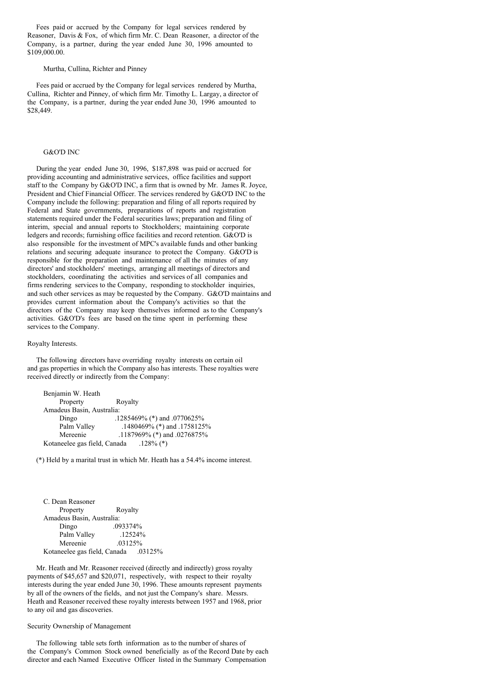Fees paid or accrued by the Company for legal services rendered by Reasoner, Davis & Fox, of which firm Mr. C. Dean Reasoner, a director of the Company, is a partner, during the year ended June 30, 1996 amounted to \$109,000.00.

Murtha, Cullina, Richter and Pinney

Fees paid or accrued by the Company for legal services rendered by Murtha, Cullina, Richter and Pinney, of which firm Mr. Timothy L. Largay, a director of the Company, is a partner, during the year ended June 30, 1996 amounted to \$28,449.

### G&O'D INC

During the year ended June 30, 1996, \$187,898 was paid or accrued for providing accounting and administrative services, office facilities and support staff to the Company by G&O'D INC, a firm that is owned by Mr. James R. Joyce, President and Chief Financial Officer. The services rendered by G&O'D INC to the Company include the following: preparation and filing of all reports required by Federal and State governments, preparations of reports and registration statements required under the Federal securities laws; preparation and filing of interim, special and annual reports to Stockholders; maintaining corporate ledgers and records; furnishing office facilities and record retention. G&O'D is also responsible for the investment of MPC's available funds and other banking relations and securing adequate insurance to protect the Company. G&O'D is responsible for the preparation and maintenance of all the minutes of any directors' and stockholders' meetings, arranging all meetings of directors and stockholders, coordinating the activities and services of all companies and firms rendering services to the Company, responding to stockholder inquiries, and such other services as may be requested by the Company. G&O'D maintains and provides current information about the Company's activities so that the directors of the Company may keep themselves informed as to the Company's activities. G&O'D's fees are based on the time spent in performing these services to the Company.

## Royalty Interests.

The following directors have overriding royalty interests on certain oil and gas properties in which the Company also has interests. These royalties were received directly or indirectly from the Company:

| Benjamin W. Heath                         |                             |
|-------------------------------------------|-----------------------------|
| Property                                  | Royalty                     |
| Amadeus Basin, Australia:                 |                             |
| Dingo                                     | .1285469% (*) and .0770625% |
| Palm Valley                               | .1480469% (*) and .1758125% |
| Mereenie                                  | .1187969% (*) and .0276875% |
| Kotaneelee gas field, Canada $.128\%$ (*) |                             |

(\*) Held by a marital trust in which Mr. Heath has a 54.4% income interest.

| C. Dean Reasoner                     |          |         |
|--------------------------------------|----------|---------|
| Property                             | Royalty  |         |
| Amadeus Basin, Australia:            |          |         |
| Dingo                                | .093374% |         |
| Palm Valley                          |          | .12524% |
| Mereenie                             | .03125%  |         |
| Kotaneelee gas field, Canada .03125% |          |         |

Mr. Heath and Mr. Reasoner received (directly and indirectly) gross royalty payments of \$45,657 and \$20,071, respectively, with respect to their royalty interests during the year ended June 30, 1996. These amounts represent payments by all of the owners of the fields, and not just the Company's share. Messrs. Heath and Reasoner received these royalty interests between 1957 and 1968, prior to any oil and gas discoveries.

#### Security Ownership of Management

The following table sets forth information as to the number of shares of the Company's Common Stock owned beneficially as of the Record Date by each director and each Named Executive Officer listed in the Summary Compensation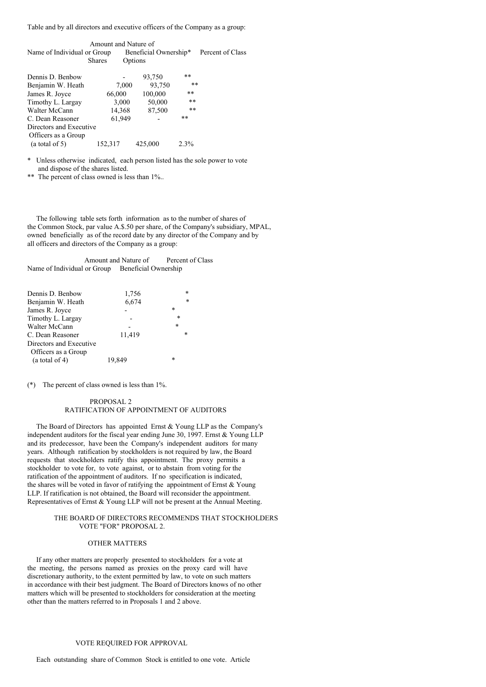Table and by all directors and executive officers of the Company as a group:

|                                       | Amount and Nature of |                       |         |                  |
|---------------------------------------|----------------------|-----------------------|---------|------------------|
| Name of Individual or Group           |                      | Beneficial Ownership* |         | Percent of Class |
|                                       | <b>Shares</b>        | Options               |         |                  |
| Dennis D. Benbow                      |                      | 93,750                | $***$   |                  |
| Benjamin W. Heath                     | 7,000                | 93,750                | $***$   |                  |
| James R. Joyce                        | 66,000               | 100,000               | **      |                  |
|                                       | 3,000                | 50,000                | $***$   |                  |
| Timothy L. Largay<br>Walter McCann    |                      | 87,500                | $***$   |                  |
| C. Dean Reasoner                      | 14,368<br>61,949     |                       | **      |                  |
| Directors and Executive               |                      |                       |         |                  |
|                                       |                      |                       |         |                  |
| Officers as a Group<br>(a total of 5) | 152,317              | 425,000               | $2.3\%$ |                  |

\* Unless otherwise indicated, each person listed has the sole power to vote and dispose of the shares listed.

\*\* The percent of class owned is less than 1%...

The following table sets forth information as to the number of shares of the Common Stock, par value A.\$.50 per share, of the Company's subsidiary, MPAL, owned beneficially as of the record date by any director of the Company and by all officers and directors of the Company as a group:

Amount and Nature of Percent of Class Name of Individual or Group Beneficial Ownership

| $\ast$ |
|--------|
|        |
|        |
|        |
| $\ast$ |
|        |
|        |
|        |
|        |

(\*) The percent of class owned is less than 1%.

# PROPOSAL 2 RATIFICATION OF APPOINTMENT OF AUDITORS

The Board of Directors has appointed Ernst & Young LLP as the Company's independent auditors for the fiscal year ending June 30, 1997. Ernst & Young LLP and its predecessor, have been the Company's independent auditors for many years. Although ratification by stockholders is not required by law, the Board requests that stockholders ratify this appointment. The proxy permits a stockholder to vote for, to vote against, or to abstain from voting for the ratification of the appointment of auditors. If no specification is indicated, the shares will be voted in favor of ratifying the appointment of Ernst & Young LLP. If ratification is not obtained, the Board will reconsider the appointment. Representatives of Ernst & Young LLP will not be present at the Annual Meeting.

## THE BOARD OF DIRECTORS RECOMMENDS THAT STOCKHOLDERS VOTE "FOR" PROPOSAL 2.

## OTHER MATTERS

If any other matters are properly presented to stockholders for a vote at the meeting, the persons named as proxies on the proxy card will have discretionary authority, to the extent permitted by law, to vote on such matters in accordance with their best judgment. The Board of Directors knows of no other matters which will be presented to stockholders for consideration at the meeting other than the matters referred to in Proposals 1 and 2 above.

# VOTE REQUIRED FOR APPROVAL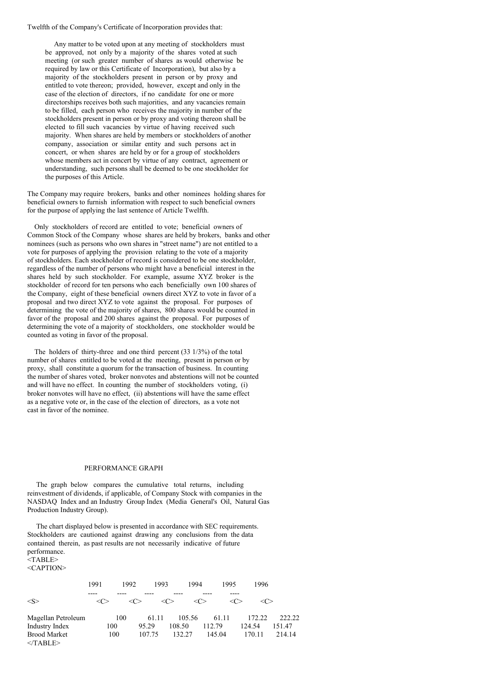Twelfth of the Company's Certificate of Incorporation provides that:

Any matter to be voted upon at any meeting of stockholders must be approved, not only by a majority of the shares voted at such meeting (or such greater number of shares as would otherwise be required by law or this Certificate of Incorporation), but also by a majority of the stockholders present in person or by proxy and entitled to vote thereon; provided, however, except and only in the case of the election of directors, if no candidate for one or more directorships receives both such majorities, and any vacancies remain to be filled, each person who receives the majority in number of the stockholders present in person or by proxy and voting thereon shall be elected to fill such vacancies by virtue of having received such majority. When shares are held by members or stockholders of another company, association or similar entity and such persons act in concert, or when shares are held by or for a group of stockholders whose members act in concert by virtue of any contract, agreement or understanding, such persons shall be deemed to be one stockholder for the purposes of this Article.

The Company may require brokers, banks and other nominees holding shares for beneficial owners to furnish information with respect to such beneficial owners for the purpose of applying the last sentence of Article Twelfth.

Only stockholders of record are entitled to vote; beneficial owners of Common Stock of the Company whose shares are held by brokers, banks and other nominees (such as persons who own shares in "street name") are not entitled to a vote for purposes of applying the provision relating to the vote of a majority of stockholders. Each stockholder of record is considered to be one stockholder, regardless of the number of persons who might have a beneficial interest in the shares held by such stockholder. For example, assume XYZ broker is the stockholder of record for ten persons who each beneficially own 100 shares of the Company, eight of these beneficial owners direct XYZ to vote in favor of a proposal and two direct XYZ to vote against the proposal. For purposes of determining the vote of the majority of shares, 800 shares would be counted in favor of the proposal and 200 shares against the proposal. For purposes of determining the vote of a majority of stockholders, one stockholder would be counted as voting in favor of the proposal.

The holders of thirty-three and one third percent (33 1/3%) of the total number of shares entitled to be voted at the meeting, present in person or by proxy, shall constitute a quorum for the transaction of business. In counting the number of shares voted, broker nonvotes and abstentions will not be counted and will have no effect. In counting the number of stockholders voting, (i) broker nonvotes will have no effect, (ii) abstentions will have the same effect as a negative vote or, in the case of the election of directors, as a vote not cast in favor of the nominee.

# PERFORMANCE GRAPH

The graph below compares the cumulative total returns, including reinvestment of dividends, if applicable, of Company Stock with companies in the NASDAQ Index and an Industry Group Index (Media General's Oil, Natural Gas Production Industry Group).

The chart displayed below is presented in accordance with SEC requirements. Stockholders are cautioned against drawing any conclusions from the data contained therein, as past results are not necessarily indicative of future performance. <TABLE>

<CAPTION>

|                                         | 1991    | 1992 | 1993   | 1994    | 1995    | 1996                |        |
|-----------------------------------------|---------|------|--------|---------|---------|---------------------|--------|
| $<\!\!S\!\!>$                           | <c></c> |      |        | <c></c> | <c></c> | <c><br/><c></c></c> |        |
| Magellan Petroleum                      |         | 100  | 61.11  | 105.56  | 61.11   | 172.22              | 222.22 |
| Industry Index                          | 100     |      | 95.29  | 108.50  | 112.79  | 124.54              | 151.47 |
| <b>Brood Market</b><br>$\langle$ TABLE> |         | 100  | 107.75 | 132.27  | 145.04  | 170.11              | 214.14 |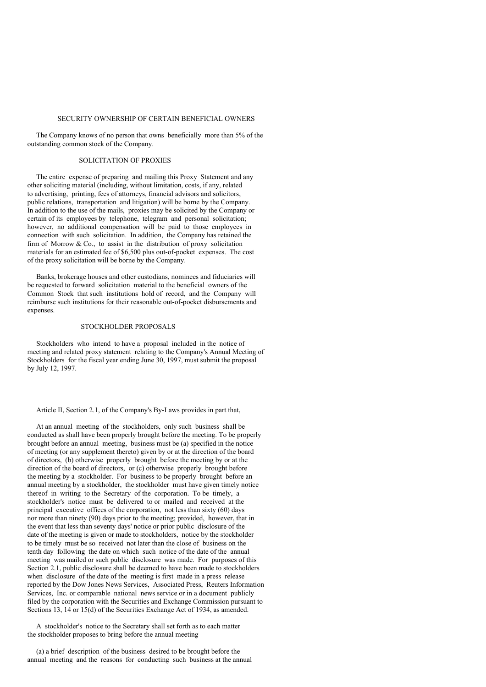#### SECURITY OWNERSHIP OF CERTAIN BENEFICIAL OWNERS

The Company knows of no person that owns beneficially more than 5% of the outstanding common stock of the Company.

# SOLICITATION OF PROXIES

The entire expense of preparing and mailing this Proxy Statement and any other soliciting material (including, without limitation, costs, if any, related to advertising, printing, fees of attorneys, financial advisors and solicitors, public relations, transportation and litigation) will be borne by the Company. In addition to the use of the mails, proxies may be solicited by the Company or certain of its employees by telephone, telegram and personal solicitation; however, no additional compensation will be paid to those employees in connection with such solicitation. In addition, the Company has retained the firm of Morrow  $& Co.,$  to assist in the distribution of proxy solicitation materials for an estimated fee of \$6,500 plus out-of-pocket expenses. The cost of the proxy solicitation will be borne by the Company.

Banks, brokerage houses and other custodians, nominees and fiduciaries will be requested to forward solicitation material to the beneficial owners of the Common Stock that such institutions hold of record, and the Company will reimburse such institutions for their reasonable out-of-pocket disbursements and expenses.

# STOCKHOLDER PROPOSALS

Stockholders who intend to have a proposal included in the notice of meeting and related proxy statement relating to the Company's Annual Meeting of Stockholders for the fiscal year ending June 30, 1997, must submit the proposal by July 12, 1997.

Article II, Section 2.1, of the Company's By-Laws provides in part that,

At an annual meeting of the stockholders, only such business shall be conducted as shall have been properly brought before the meeting. To be properly brought before an annual meeting, business must be (a) specified in the notice of meeting (or any supplement thereto) given by or at the direction of the board of directors, (b) otherwise properly brought before the meeting by or at the direction of the board of directors, or (c) otherwise properly brought before the meeting by a stockholder. For business to be properly brought before an annual meeting by a stockholder, the stockholder must have given timely notice thereof in writing to the Secretary of the corporation. To be timely, a stockholder's notice must be delivered to or mailed and received at the principal executive offices of the corporation, not less than sixty (60) days nor more than ninety (90) days prior to the meeting; provided, however, that in the event that less than seventy days' notice or prior public disclosure of the date of the meeting is given or made to stockholders, notice by the stockholder to be timely must be so received not later than the close of business on the tenth day following the date on which such notice of the date of the annual meeting was mailed or such public disclosure was made. For purposes of this Section 2.1, public disclosure shall be deemed to have been made to stockholders when disclosure of the date of the meeting is first made in a press release reported by the Dow Jones News Services, Associated Press, Reuters Information Services, Inc. or comparable national news service or in a document publicly filed by the corporation with the Securities and Exchange Commission pursuant to Sections 13, 14 or 15(d) of the Securities Exchange Act of 1934, as amended.

A stockholder's notice to the Secretary shall set forth as to each matter the stockholder proposes to bring before the annual meeting

(a) a brief description of the business desired to be brought before the annual meeting and the reasons for conducting such business at the annual